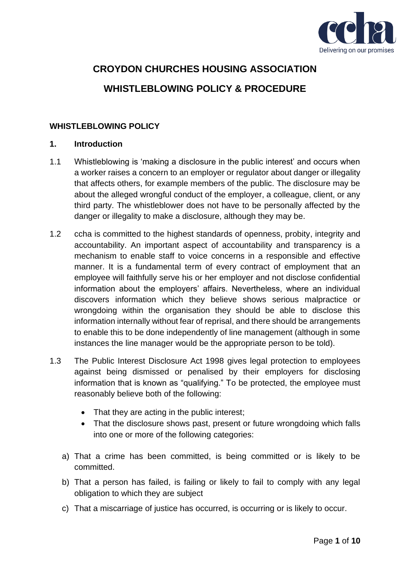

# **CROYDON CHURCHES HOUSING ASSOCIATION WHISTLEBLOWING POLICY & PROCEDURE**

# **WHISTLEBLOWING POLICY**

#### **1. Introduction**

- 1.1 Whistleblowing is 'making a disclosure in the public interest' and occurs when a worker raises a concern to an employer or regulator about danger or illegality that affects others, for example members of the public. The disclosure may be about the alleged wrongful conduct of the employer, a colleague, client, or any third party. The whistleblower does not have to be personally affected by the danger or illegality to make a disclosure, although they may be.
- 1.2 ccha is committed to the highest standards of openness, probity, integrity and accountability. An important aspect of accountability and transparency is a mechanism to enable staff to voice concerns in a responsible and effective manner. It is a fundamental term of every contract of employment that an employee will faithfully serve his or her employer and not disclose confidential information about the employers' affairs. Nevertheless, where an individual discovers information which they believe shows serious malpractice or wrongdoing within the organisation they should be able to disclose this information internally without fear of reprisal, and there should be arrangements to enable this to be done independently of line management (although in some instances the line manager would be the appropriate person to be told).
- 1.3 The Public Interest Disclosure Act 1998 gives legal protection to employees against being dismissed or penalised by their employers for disclosing information that is known as "qualifying." To be protected, the employee must reasonably believe both of the following:
	- That they are acting in the public interest;
	- That the disclosure shows past, present or future wrongdoing which falls into one or more of the following categories:
	- a) That a crime has been committed, is being committed or is likely to be committed.
	- b) That a person has failed, is failing or likely to fail to comply with any legal obligation to which they are subject
	- c) That a miscarriage of justice has occurred, is occurring or is likely to occur.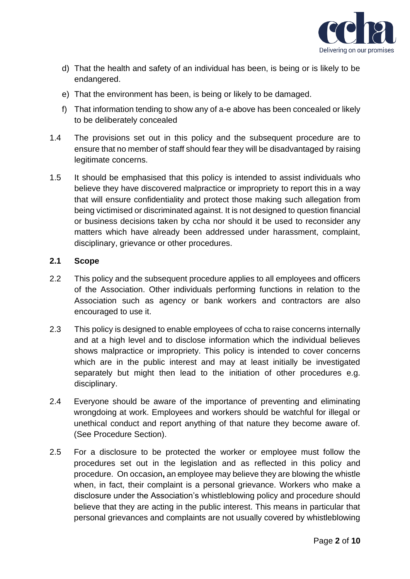

- d) That the health and safety of an individual has been, is being or is likely to be endangered.
- e) That the environment has been, is being or likely to be damaged.
- f) That information tending to show any of a-e above has been concealed or likely to be deliberately concealed
- 1.4 The provisions set out in this policy and the subsequent procedure are to ensure that no member of staff should fear they will be disadvantaged by raising legitimate concerns.
- 1.5 It should be emphasised that this policy is intended to assist individuals who believe they have discovered malpractice or impropriety to report this in a way that will ensure confidentiality and protect those making such allegation from being victimised or discriminated against. It is not designed to question financial or business decisions taken by ccha nor should it be used to reconsider any matters which have already been addressed under harassment, complaint, disciplinary, grievance or other procedures.

## **2.1 Scope**

- 2.2 This policy and the subsequent procedure applies to all employees and officers of the Association. Other individuals performing functions in relation to the Association such as agency or bank workers and contractors are also encouraged to use it.
- 2.3 This policy is designed to enable employees of ccha to raise concerns internally and at a high level and to disclose information which the individual believes shows malpractice or impropriety. This policy is intended to cover concerns which are in the public interest and may at least initially be investigated separately but might then lead to the initiation of other procedures e.g. disciplinary.
- 2.4 Everyone should be aware of the importance of preventing and eliminating wrongdoing at work. Employees and workers should be watchful for illegal or unethical conduct and report anything of that nature they become aware of. (See Procedure Section).
- 2.5 For a disclosure to be protected the worker or employee must follow the procedures set out in the legislation and as reflected in this policy and procedure. On occasion**,** an employee may believe they are blowing the whistle when, in fact, their complaint is a personal grievance. Workers who make a disclosure under the Association's whistleblowing policy and procedure should believe that they are acting in the public interest. This means in particular that personal grievances and complaints are not usually covered by whistleblowing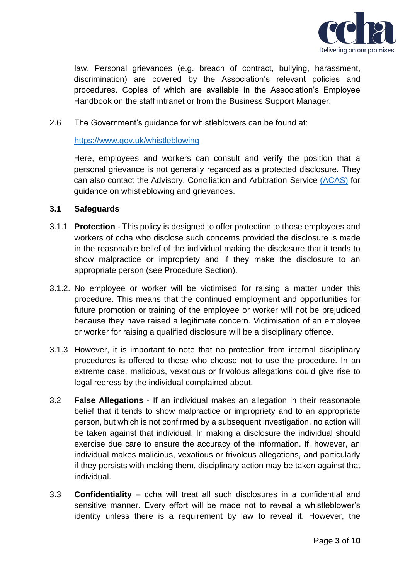

law. Personal grievances (e.g. breach of contract, bullying, harassment, discrimination) are covered by the Association's relevant policies and procedures. Copies of which are available in the Association's Employee Handbook on the staff intranet or from the Business Support Manager.

## 2.6 The Government's guidance for whistleblowers can be found at:

#### <https://www.gov.uk/whistleblowing>

Here, employees and workers can consult and verify the position that a personal grievance is not generally regarded as a protected disclosure. They can also contact the Advisory, Conciliation and Arbitration Service [\(ACAS\)](https://www.acas.org.uk/archive/whistleblowing) for guidance on whistleblowing and grievances.

#### **3.1 Safeguards**

- 3.1.1 **Protection** This policy is designed to offer protection to those employees and workers of ccha who disclose such concerns provided the disclosure is made in the reasonable belief of the individual making the disclosure that it tends to show malpractice or impropriety and if they make the disclosure to an appropriate person (see Procedure Section).
- 3.1.2. No employee or worker will be victimised for raising a matter under this procedure. This means that the continued employment and opportunities for future promotion or training of the employee or worker will not be prejudiced because they have raised a legitimate concern. Victimisation of an employee or worker for raising a qualified disclosure will be a disciplinary offence.
- 3.1.3 However, it is important to note that no protection from internal disciplinary procedures is offered to those who choose not to use the procedure. In an extreme case, malicious, vexatious or frivolous allegations could give rise to legal redress by the individual complained about.
- 3.2 **False Allegations**  If an individual makes an allegation in their reasonable belief that it tends to show malpractice or impropriety and to an appropriate person, but which is not confirmed by a subsequent investigation, no action will be taken against that individual. In making a disclosure the individual should exercise due care to ensure the accuracy of the information. If, however, an individual makes malicious, vexatious or frivolous allegations, and particularly if they persists with making them, disciplinary action may be taken against that individual.
- 3.3 **Confidentiality**  ccha will treat all such disclosures in a confidential and sensitive manner. Every effort will be made not to reveal a whistleblower's identity unless there is a requirement by law to reveal it. However, the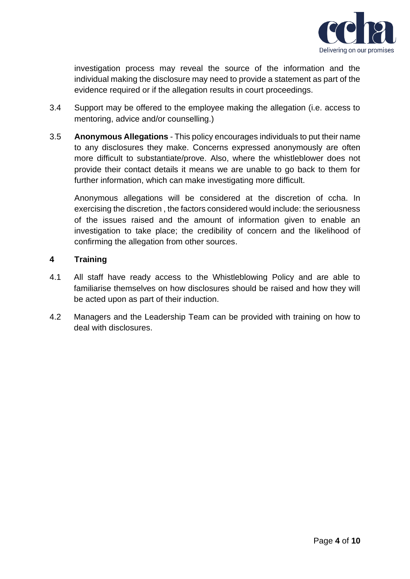

investigation process may reveal the source of the information and the individual making the disclosure may need to provide a statement as part of the evidence required or if the allegation results in court proceedings.

- 3.4 Support may be offered to the employee making the allegation (i.e. access to mentoring, advice and/or counselling.)
- 3.5 **Anonymous Allegations**  This policy encourages individuals to put their name to any disclosures they make. Concerns expressed anonymously are often more difficult to substantiate/prove. Also, where the whistleblower does not provide their contact details it means we are unable to go back to them for further information, which can make investigating more difficult.

Anonymous allegations will be considered at the discretion of ccha. In exercising the discretion , the factors considered would include: the seriousness of the issues raised and the amount of information given to enable an investigation to take place; the credibility of concern and the likelihood of confirming the allegation from other sources.

## **4 Training**

- 4.1 All staff have ready access to the Whistleblowing Policy and are able to familiarise themselves on how disclosures should be raised and how they will be acted upon as part of their induction.
- 4.2 Managers and the Leadership Team can be provided with training on how to deal with disclosures.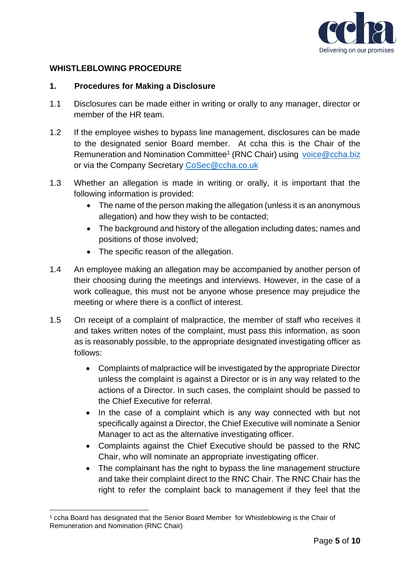

# **WHISTLEBLOWING PROCEDURE**

#### **1. Procedures for Making a Disclosure**

- 1.1 Disclosures can be made either in writing or orally to any manager, director or member of the HR team.
- 1.2 If the employee wishes to bypass line management, disclosures can be made to the designated senior Board member. At ccha this is the Chair of the Remuneration and Nomination Committee<sup>1</sup> (RNC Chair) using [voice@ccha.biz](mailto:voice@ccha.biz) or via the Company Secretary [CoSec@ccha.co.uk](mailto:CoSec@ccha.co.uk)
- 1.3 Whether an allegation is made in writing or orally, it is important that the following information is provided:
	- The name of the person making the allegation (unless it is an anonymous allegation) and how they wish to be contacted;
	- The background and history of the allegation including dates; names and positions of those involved;
	- The specific reason of the allegation.
- 1.4 An employee making an allegation may be accompanied by another person of their choosing during the meetings and interviews. However, in the case of a work colleague, this must not be anyone whose presence may prejudice the meeting or where there is a conflict of interest.
- 1.5 On receipt of a complaint of malpractice, the member of staff who receives it and takes written notes of the complaint, must pass this information, as soon as is reasonably possible, to the appropriate designated investigating officer as follows:
	- Complaints of malpractice will be investigated by the appropriate Director unless the complaint is against a Director or is in any way related to the actions of a Director. In such cases, the complaint should be passed to the Chief Executive for referral.
	- In the case of a complaint which is any way connected with but not specifically against a Director, the Chief Executive will nominate a Senior Manager to act as the alternative investigating officer.
	- Complaints against the Chief Executive should be passed to the RNC Chair, who will nominate an appropriate investigating officer.
	- The complainant has the right to bypass the line management structure and take their complaint direct to the RNC Chair. The RNC Chair has the right to refer the complaint back to management if they feel that the

<sup>1</sup> ccha Board has designated that the Senior Board Member for Whistleblowing is the Chair of Remuneration and Nomination (RNC Chair)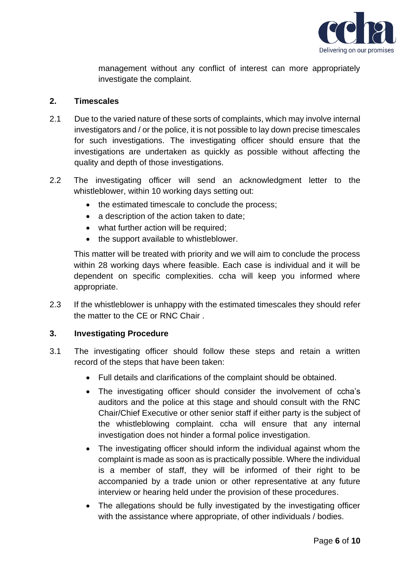

management without any conflict of interest can more appropriately investigate the complaint.

## **2. Timescales**

- 2.1 Due to the varied nature of these sorts of complaints, which may involve internal investigators and / or the police, it is not possible to lay down precise timescales for such investigations. The investigating officer should ensure that the investigations are undertaken as quickly as possible without affecting the quality and depth of those investigations.
- 2.2 The investigating officer will send an acknowledgment letter to the whistleblower, within 10 working days setting out:
	- the estimated timescale to conclude the process;
	- a description of the action taken to date;
	- what further action will be required;
	- the support available to whistleblower.

This matter will be treated with priority and we will aim to conclude the process within 28 working days where feasible. Each case is individual and it will be dependent on specific complexities. ccha will keep you informed where appropriate.

2.3 If the whistleblower is unhappy with the estimated timescales they should refer the matter to the CE or RNC Chair .

# **3. Investigating Procedure**

- 3.1 The investigating officer should follow these steps and retain a written record of the steps that have been taken:
	- Full details and clarifications of the complaint should be obtained.
	- The investigating officer should consider the involvement of ccha's auditors and the police at this stage and should consult with the RNC Chair/Chief Executive or other senior staff if either party is the subject of the whistleblowing complaint. ccha will ensure that any internal investigation does not hinder a formal police investigation.
	- The investigating officer should inform the individual against whom the complaint is made as soon as is practically possible. Where the individual is a member of staff, they will be informed of their right to be accompanied by a trade union or other representative at any future interview or hearing held under the provision of these procedures.
	- The allegations should be fully investigated by the investigating officer with the assistance where appropriate, of other individuals / bodies.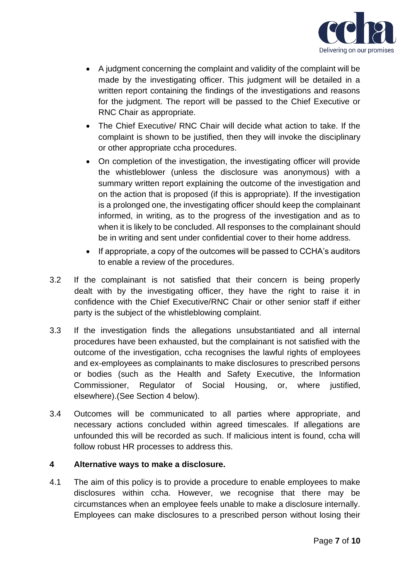

- A judgment concerning the complaint and validity of the complaint will be made by the investigating officer. This judgment will be detailed in a written report containing the findings of the investigations and reasons for the judgment. The report will be passed to the Chief Executive or RNC Chair as appropriate.
- The Chief Executive/ RNC Chair will decide what action to take. If the complaint is shown to be justified, then they will invoke the disciplinary or other appropriate ccha procedures.
- On completion of the investigation, the investigating officer will provide the whistleblower (unless the disclosure was anonymous) with a summary written report explaining the outcome of the investigation and on the action that is proposed (if this is appropriate). If the investigation is a prolonged one, the investigating officer should keep the complainant informed, in writing, as to the progress of the investigation and as to when it is likely to be concluded. All responses to the complainant should be in writing and sent under confidential cover to their home address.
- If appropriate, a copy of the outcomes will be passed to CCHA's auditors to enable a review of the procedures.
- 3.2 If the complainant is not satisfied that their concern is being properly dealt with by the investigating officer, they have the right to raise it in confidence with the Chief Executive/RNC Chair or other senior staff if either party is the subject of the whistleblowing complaint.
- 3.3 If the investigation finds the allegations unsubstantiated and all internal procedures have been exhausted, but the complainant is not satisfied with the outcome of the investigation, ccha recognises the lawful rights of employees and ex-employees as complainants to make disclosures to prescribed persons or bodies (such as the Health and Safety Executive, the Information Commissioner, Regulator of Social Housing, or, where justified, elsewhere).(See Section 4 below).
- 3.4 Outcomes will be communicated to all parties where appropriate, and necessary actions concluded within agreed timescales. If allegations are unfounded this will be recorded as such. If malicious intent is found, ccha will follow robust HR processes to address this.

# **4 Alternative ways to make a disclosure.**

4.1 The aim of this policy is to provide a procedure to enable employees to make disclosures within ccha. However, we recognise that there may be circumstances when an employee feels unable to make a disclosure internally. Employees can make disclosures to a prescribed person without losing their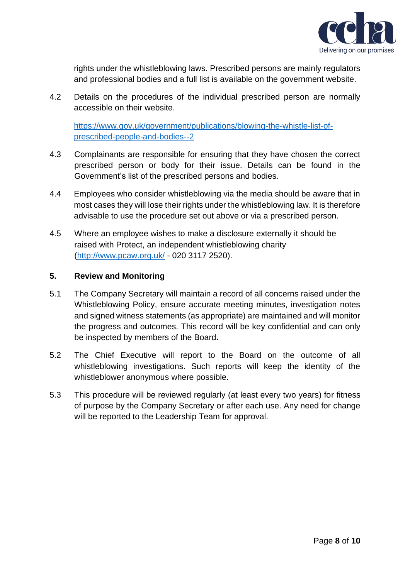

rights under the whistleblowing laws. Prescribed persons are mainly regulators and professional bodies and a full list is available on the government website.

4.2 Details on the procedures of the individual prescribed person are normally accessible on their website.

[https://www.gov.uk/government/publications/blowing-the-whistle-list-of](https://www.gov.uk/government/publications/blowing-the-whistle-list-of-prescribed-people-and-bodies--2)[prescribed-people-and-bodies--2](https://www.gov.uk/government/publications/blowing-the-whistle-list-of-prescribed-people-and-bodies--2)

- 4.3 Complainants are responsible for ensuring that they have chosen the correct prescribed person or body for their issue. Details can be found in the Government's list of the prescribed persons and bodies.
- 4.4 Employees who consider whistleblowing via the media should be aware that in most cases they will lose their rights under the whistleblowing law. It is therefore advisable to use the procedure set out above or via a prescribed person.
- 4.5 Where an employee wishes to make a disclosure externally it should be raised with Protect, an independent whistleblowing charity [\(http://www.pcaw.org.uk/](http://www.pcaw.org.uk/) - 020 3117 2520).

## **5. Review and Monitoring**

- 5.1 The Company Secretary will maintain a record of all concerns raised under the Whistleblowing Policy, ensure accurate meeting minutes, investigation notes and signed witness statements (as appropriate) are maintained and will monitor the progress and outcomes. This record will be key confidential and can only be inspected by members of the Board**.**
- 5.2 The Chief Executive will report to the Board on the outcome of all whistleblowing investigations. Such reports will keep the identity of the whistleblower anonymous where possible.
- 5.3 This procedure will be reviewed regularly (at least every two years) for fitness of purpose by the Company Secretary or after each use. Any need for change will be reported to the Leadership Team for approval.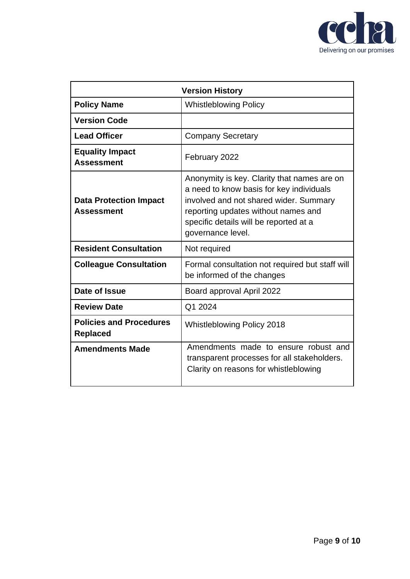

| <b>Version History</b>                             |                                                                                                                                                                                                                                         |
|----------------------------------------------------|-----------------------------------------------------------------------------------------------------------------------------------------------------------------------------------------------------------------------------------------|
| <b>Policy Name</b>                                 | <b>Whistleblowing Policy</b>                                                                                                                                                                                                            |
| <b>Version Code</b>                                |                                                                                                                                                                                                                                         |
| <b>Lead Officer</b>                                | <b>Company Secretary</b>                                                                                                                                                                                                                |
| <b>Equality Impact</b><br><b>Assessment</b>        | February 2022                                                                                                                                                                                                                           |
| <b>Data Protection Impact</b><br><b>Assessment</b> | Anonymity is key. Clarity that names are on<br>a need to know basis for key individuals<br>involved and not shared wider. Summary<br>reporting updates without names and<br>specific details will be reported at a<br>governance level. |
| <b>Resident Consultation</b>                       | Not required                                                                                                                                                                                                                            |
| <b>Colleague Consultation</b>                      | Formal consultation not required but staff will<br>be informed of the changes                                                                                                                                                           |
| Date of Issue                                      | Board approval April 2022                                                                                                                                                                                                               |
| <b>Review Date</b>                                 | Q1 2024                                                                                                                                                                                                                                 |
| <b>Policies and Procedures</b><br><b>Replaced</b>  | Whistleblowing Policy 2018                                                                                                                                                                                                              |
| <b>Amendments Made</b>                             | Amendments made to ensure robust and<br>transparent processes for all stakeholders.<br>Clarity on reasons for whistleblowing                                                                                                            |